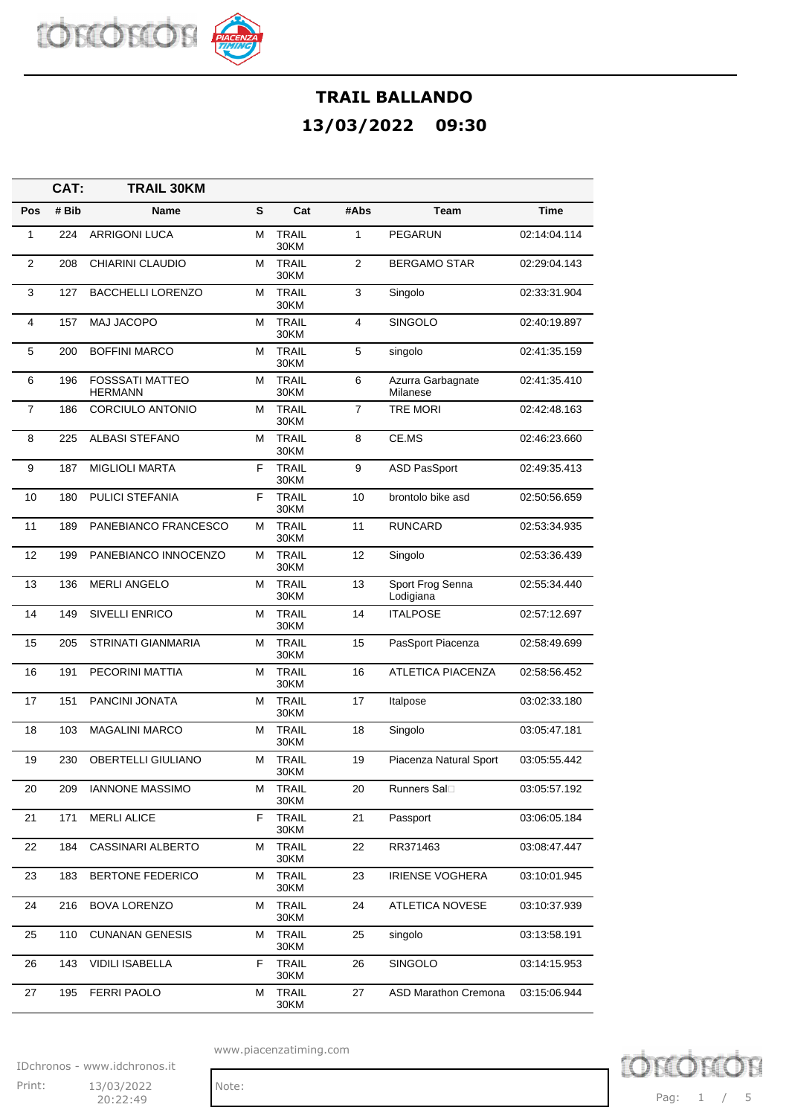

|                | CAT:  | <b>TRAIL 30KM</b>                        |   |                      |                |                               |              |
|----------------|-------|------------------------------------------|---|----------------------|----------------|-------------------------------|--------------|
| Pos            | # Bib | Name                                     | S | Cat                  | #Abs           | <b>Team</b>                   | <b>Time</b>  |
| $\mathbf{1}$   | 224   | <b>ARRIGONI LUCA</b>                     | М | <b>TRAIL</b><br>30KM | $\mathbf{1}$   | <b>PEGARUN</b>                | 02:14:04.114 |
| $\overline{2}$ | 208   | CHIARINI CLAUDIO                         | М | <b>TRAIL</b><br>30KM | 2              | <b>BERGAMO STAR</b>           | 02:29:04.143 |
| 3              | 127   | <b>BACCHELLI LORENZO</b>                 | М | <b>TRAIL</b><br>30KM | 3              | Singolo                       | 02:33:31.904 |
| $\overline{4}$ | 157   | MAJ JACOPO                               | М | <b>TRAIL</b><br>30KM | 4              | <b>SINGOLO</b>                | 02:40:19.897 |
| 5              | 200   | <b>BOFFINI MARCO</b>                     | м | <b>TRAIL</b><br>30KM | 5              | singolo                       | 02:41:35.159 |
| 6              | 196   | <b>FOSSSATI MATTEO</b><br><b>HERMANN</b> | М | <b>TRAIL</b><br>30KM | 6              | Azurra Garbagnate<br>Milanese | 02:41:35.410 |
| $\overline{7}$ | 186   | CORCIULO ANTONIO                         | М | <b>TRAIL</b><br>30KM | $\overline{7}$ | <b>TRE MORI</b>               | 02:42:48.163 |
| 8              | 225   | <b>ALBASI STEFANO</b>                    | М | <b>TRAIL</b><br>30KM | 8              | CE.MS                         | 02:46:23.660 |
| 9              | 187   | <b>MIGLIOLI MARTA</b>                    | F | <b>TRAIL</b><br>30KM | 9              | <b>ASD PasSport</b>           | 02:49:35.413 |
| 10             | 180   | PULICI STEFANIA                          | F | <b>TRAIL</b><br>30KM | 10             | brontolo bike asd             | 02:50:56.659 |
| 11             | 189   | PANEBIANCO FRANCESCO                     | М | <b>TRAIL</b><br>30KM | 11             | <b>RUNCARD</b>                | 02:53:34.935 |
| 12             | 199   | PANEBIANCO INNOCENZO                     | м | <b>TRAIL</b><br>30KM | 12             | Singolo                       | 02:53:36.439 |
| 13             | 136   | <b>MERLI ANGELO</b>                      | М | <b>TRAIL</b><br>30KM | 13             | Sport Frog Senna<br>Lodigiana | 02:55:34.440 |
| 14             | 149   | SIVELLI ENRICO                           | М | <b>TRAIL</b><br>30KM | 14             | <b>ITALPOSE</b>               | 02:57:12.697 |
| 15             | 205   | <b>STRINATI GIANMARIA</b>                | м | <b>TRAIL</b><br>30KM | 15             | PasSport Piacenza             | 02:58:49.699 |
| 16             | 191   | PECORINI MATTIA                          | М | <b>TRAIL</b><br>30KM | 16             | <b>ATLETICA PIACENZA</b>      | 02:58:56.452 |
| 17             | 151   | PANCINI JONATA                           | м | <b>TRAIL</b><br>30KM | 17             | Italpose                      | 03:02:33.180 |
| 18             | 103   | <b>MAGALINI MARCO</b>                    | м | <b>TRAIL</b><br>30KM | 18             | Singolo                       | 03:05:47.181 |
| 19             | 230   | <b>OBERTELLI GIULIANO</b>                | М | <b>TRAIL</b><br>30KM | 19             | Piacenza Natural Sport        | 03:05:55.442 |
| 20             | 209   | <b>IANNONE MASSIMO</b>                   | м | <b>TRAIL</b><br>30KM | 20             | <b>Runners Sal</b> □          | 03:05:57.192 |
| 21             | 171   | <b>MERLI ALICE</b>                       | F | <b>TRAIL</b><br>30KM | 21             | Passport                      | 03:06:05.184 |
| 22             | 184   | <b>CASSINARI ALBERTO</b>                 | М | <b>TRAIL</b><br>30KM | 22             | RR371463                      | 03:08:47.447 |
| 23             | 183   | <b>BERTONE FEDERICO</b>                  | м | <b>TRAIL</b><br>30KM | 23             | <b>IRIENSE VOGHERA</b>        | 03:10:01.945 |
| 24             | 216   | <b>BOVA LORENZO</b>                      | м | TRAIL<br>30KM        | 24             | ATLETICA NOVESE               | 03:10:37.939 |
| 25             | 110   | <b>CUNANAN GENESIS</b>                   | м | TRAIL<br>30KM        | 25             | singolo                       | 03:13:58.191 |
| 26             | 143   | <b>VIDILI ISABELLA</b>                   | F | <b>TRAIL</b><br>30KM | 26             | SINGOLO                       | 03:14:15.953 |
| 27             | 195   | <b>FERRI PAOLO</b>                       | М | <b>TRAIL</b><br>30KM | 27             | ASD Marathon Cremona          | 03:15:06.944 |

www.piacenzatiming.com

IDchronos - www.idchronos.it Print: 13/03/2022 Note:

20:22:49

**D** chron Pag: 1 / 5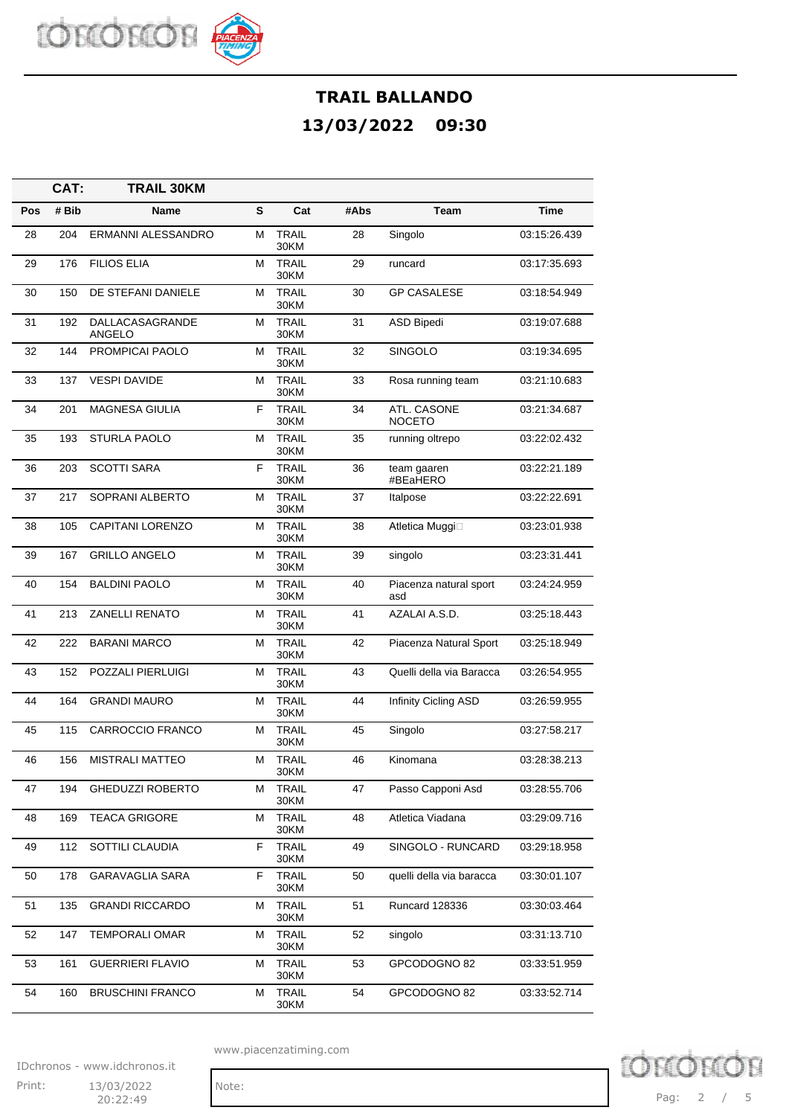

|     | CAT:  | <b>TRAIL 30KM</b>         |   |                      |      |                               |              |
|-----|-------|---------------------------|---|----------------------|------|-------------------------------|--------------|
| Pos | # Bib | Name                      | S | Cat                  | #Abs | Team                          | Time         |
| 28  | 204   | ERMANNI ALESSANDRO        | м | <b>TRAIL</b><br>30KM | 28   | Singolo                       | 03:15:26.439 |
| 29  | 176   | <b>FILIOS ELIA</b>        | м | <b>TRAIL</b><br>30KM | 29   | runcard                       | 03:17:35.693 |
| 30  | 150   | DE STEFANI DANIELE        | м | <b>TRAIL</b><br>30KM | 30   | <b>GP CASALESE</b>            | 03:18:54.949 |
| 31  | 192   | DALLACASAGRANDE<br>ANGELO | м | <b>TRAIL</b><br>30KM | 31   | <b>ASD Bipedi</b>             | 03:19:07.688 |
| 32  | 144   | PROMPICAI PAOLO           | м | <b>TRAIL</b><br>30KM | 32   | <b>SINGOLO</b>                | 03:19:34.695 |
| 33  | 137   | <b>VESPI DAVIDE</b>       | м | <b>TRAIL</b><br>30KM | 33   | Rosa running team             | 03:21:10.683 |
| 34  | 201   | <b>MAGNESA GIULIA</b>     | F | <b>TRAIL</b><br>30KM | 34   | ATL. CASONE<br><b>NOCETO</b>  | 03:21:34.687 |
| 35  | 193   | <b>STURLA PAOLO</b>       | м | <b>TRAIL</b><br>30KM | 35   | running oltrepo               | 03:22:02.432 |
| 36  | 203   | <b>SCOTTI SARA</b>        | F | <b>TRAIL</b><br>30KM | 36   | team gaaren<br>#BEaHERO       | 03:22:21.189 |
| 37  | 217   | SOPRANI ALBERTO           | м | TRAIL<br>30KM        | 37   | Italpose                      | 03:22:22.691 |
| 38  | 105   | <b>CAPITANI LORENZO</b>   | м | <b>TRAIL</b><br>30KM | 38   | Atletica Muggi□               | 03:23:01.938 |
| 39  | 167   | <b>GRILLO ANGELO</b>      | м | <b>TRAIL</b><br>30KM | 39   | singolo                       | 03:23:31.441 |
| 40  | 154   | <b>BALDINI PAOLO</b>      | м | <b>TRAIL</b><br>30KM | 40   | Piacenza natural sport<br>asd | 03:24:24.959 |
| 41  | 213   | <b>ZANELLI RENATO</b>     | м | <b>TRAIL</b><br>30KM | 41   | AZALAI A.S.D.                 | 03:25:18.443 |
| 42  | 222   | <b>BARANI MARCO</b>       | м | <b>TRAIL</b><br>30KM | 42   | Piacenza Natural Sport        | 03:25:18.949 |
| 43  | 152   | POZZALI PIERLUIGI         | м | <b>TRAIL</b><br>30KM | 43   | Quelli della via Baracca      | 03:26:54.955 |
| 44  | 164   | <b>GRANDI MAURO</b>       | м | <b>TRAIL</b><br>30KM | 44   | Infinity Cicling ASD          | 03:26:59.955 |
| 45  | 115   | CARROCCIO FRANCO          | м | <b>TRAIL</b><br>30KM | 45   | Singolo                       | 03:27:58.217 |
| 46  | 156   | <b>MISTRALI MATTEO</b>    | м | <b>TRAIL</b><br>30KM | 46   | Kinomana                      | 03:28:38.213 |
| 47  | 194   | <b>GHEDUZZI ROBERTO</b>   | м | <b>TRAIL</b><br>30KM | 47   | Passo Capponi Asd             | 03:28:55.706 |
| 48  | 169   | <b>TEACA GRIGORE</b>      | М | <b>TRAIL</b><br>30KM | 48   | Atletica Viadana              | 03:29:09.716 |
| 49  | 112   | SOTTILI CLAUDIA           | F | <b>TRAIL</b><br>30KM | 49   | SINGOLO - RUNCARD             | 03:29:18.958 |
| 50  | 178   | <b>GARAVAGLIA SARA</b>    | F | <b>TRAIL</b><br>30KM | 50   | quelli della via baracca      | 03:30:01.107 |
| 51  | 135   | <b>GRANDI RICCARDO</b>    | М | <b>TRAIL</b><br>30KM | 51   | <b>Runcard 128336</b>         | 03:30:03.464 |
| 52  | 147   | <b>TEMPORALI OMAR</b>     | М | <b>TRAIL</b><br>30KM | 52   | singolo                       | 03:31:13.710 |
| 53  | 161   | <b>GUERRIERI FLAVIO</b>   | М | <b>TRAIL</b><br>30KM | 53   | GPCODOGNO 82                  | 03:33:51.959 |
| 54  | 160   | <b>BRUSCHINI FRANCO</b>   | М | <b>TRAIL</b><br>30KM | 54   | GPCODOGNO 82                  | 03:33:52.714 |

www.piacenzatiming.com

IDchronos - www.idchronos.it Print: 13/03/2022 Note:

20:22:49

**D** chron Pag: 2 / 5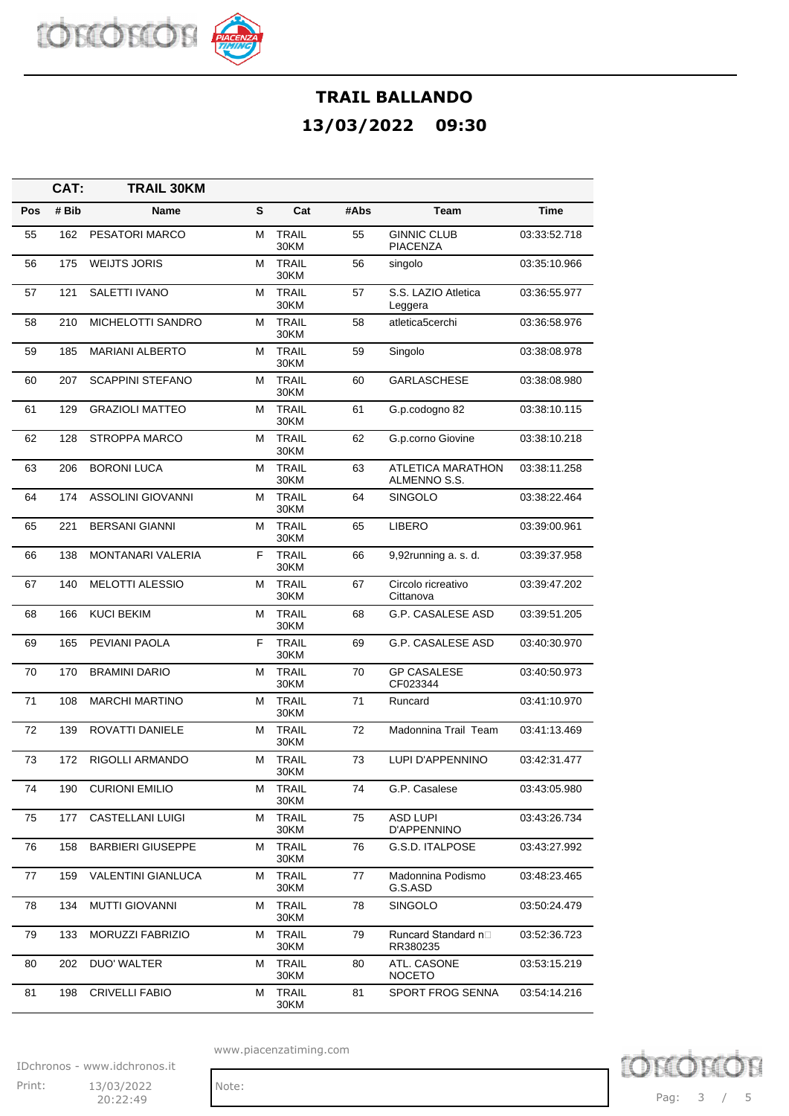

|     | CAT:  | <b>TRAIL 30KM</b>         |   |                      |      |                                       |              |
|-----|-------|---------------------------|---|----------------------|------|---------------------------------------|--------------|
| Pos | # Bib | Name                      | S | Cat                  | #Abs | Team                                  | Time         |
| 55  | 162   | PESATORI MARCO            | м | <b>TRAIL</b><br>30KM | 55   | <b>GINNIC CLUB</b><br><b>PIACENZA</b> | 03:33:52.718 |
| 56  | 175   | <b>WEIJTS JORIS</b>       | М | <b>TRAIL</b><br>30KM | 56   | singolo                               | 03:35:10.966 |
| 57  | 121   | SALETTI IVANO             | м | <b>TRAIL</b><br>30KM | 57   | S.S. LAZIO Atletica<br>Leggera        | 03:36:55.977 |
| 58  | 210   | MICHELOTTI SANDRO         | м | <b>TRAIL</b><br>30KM | 58   | atletica5cerchi                       | 03:36:58.976 |
| 59  | 185   | <b>MARIANI ALBERTO</b>    | м | <b>TRAIL</b><br>30KM | 59   | Singolo                               | 03:38:08.978 |
| 60  | 207   | <b>SCAPPINI STEFANO</b>   | М | <b>TRAIL</b><br>30KM | 60   | <b>GARLASCHESE</b>                    | 03:38:08.980 |
| 61  | 129   | <b>GRAZIOLI MATTEO</b>    | м | <b>TRAIL</b><br>30KM | 61   | G.p.codogno 82                        | 03:38:10.115 |
| 62  | 128   | STROPPA MARCO             | м | <b>TRAIL</b><br>30KM | 62   | G.p.corno Giovine                     | 03:38:10.218 |
| 63  | 206   | <b>BORONI LUCA</b>        | м | <b>TRAIL</b><br>30KM | 63   | ATLETICA MARATHON<br>ALMENNO S.S.     | 03:38:11.258 |
| 64  | 174   | ASSOLINI GIOVANNI         | м | <b>TRAIL</b><br>30KM | 64   | <b>SINGOLO</b>                        | 03:38:22.464 |
| 65  | 221   | <b>BERSANI GIANNI</b>     | м | <b>TRAIL</b><br>30KM | 65   | <b>LIBERO</b>                         | 03:39:00.961 |
| 66  | 138   | <b>MONTANARI VALERIA</b>  | F | <b>TRAIL</b><br>30KM | 66   | 9,92running a. s. d.                  | 03:39:37.958 |
| 67  | 140   | <b>MELOTTI ALESSIO</b>    | м | <b>TRAIL</b><br>30KM | 67   | Circolo ricreativo<br>Cittanova       | 03:39:47.202 |
| 68  | 166   | <b>KUCI BEKIM</b>         | м | <b>TRAIL</b><br>30KM | 68   | <b>G.P. CASALESE ASD</b>              | 03:39:51.205 |
| 69  | 165   | PEVIANI PAOLA             | F | <b>TRAIL</b><br>30KM | 69   | G.P. CASALESE ASD                     | 03:40:30.970 |
| 70  | 170   | <b>BRAMINI DARIO</b>      | М | <b>TRAIL</b><br>30KM | 70   | <b>GP CASALESE</b><br>CF023344        | 03:40:50.973 |
| 71  | 108   | <b>MARCHI MARTINO</b>     | м | <b>TRAIL</b><br>30KM | 71   | Runcard                               | 03:41:10.970 |
| 72  | 139   | <b>ROVATTI DANIELE</b>    | М | <b>TRAIL</b><br>30KM | 72   | Madonnina Trail Team                  | 03:41:13.469 |
| 73  | 172   | RIGOLLI ARMANDO           | м | <b>TRAIL</b><br>30KM | 73   | LUPI D'APPENNINO                      | 03:42:31.477 |
| 74  | 190   | <b>CURIONI EMILIO</b>     | м | <b>TRAIL</b><br>30KM | 74   | G.P. Casalese                         | 03:43:05.980 |
| 75  | 177   | <b>CASTELLANI LUIGI</b>   | м | <b>TRAIL</b><br>30KM | 75   | <b>ASD LUPI</b><br>D'APPENNINO        | 03:43:26.734 |
| 76  | 158   | <b>BARBIERI GIUSEPPE</b>  | М | <b>TRAIL</b><br>30KM | 76   | G.S.D. ITALPOSE                       | 03:43:27.992 |
| 77  | 159   | <b>VALENTINI GIANLUCA</b> | м | <b>TRAIL</b><br>30KM | 77   | Madonnina Podismo<br>G.S.ASD          | 03:48:23.465 |
| 78  | 134   | <b>MUTTI GIOVANNI</b>     | м | <b>TRAIL</b><br>30KM | 78   | <b>SINGOLO</b>                        | 03:50:24.479 |
| 79  | 133   | MORUZZI FABRIZIO          | м | <b>TRAIL</b><br>30KM | 79   | Runcard Standard n□<br>RR380235       | 03:52:36.723 |
| 80  | 202   | DUO' WALTER               | м | TRAIL<br>30KM        | 80   | ATL. CASONE<br><b>NOCETO</b>          | 03:53:15.219 |
| 81  | 198   | <b>CRIVELLI FABIO</b>     | М | <b>TRAIL</b><br>30KM | 81   | SPORT FROG SENNA                      | 03:54:14.216 |

www.piacenzatiming.com

IDchronos - www.idchronos.it Print: 13/03/2022 Note:

20:22:49



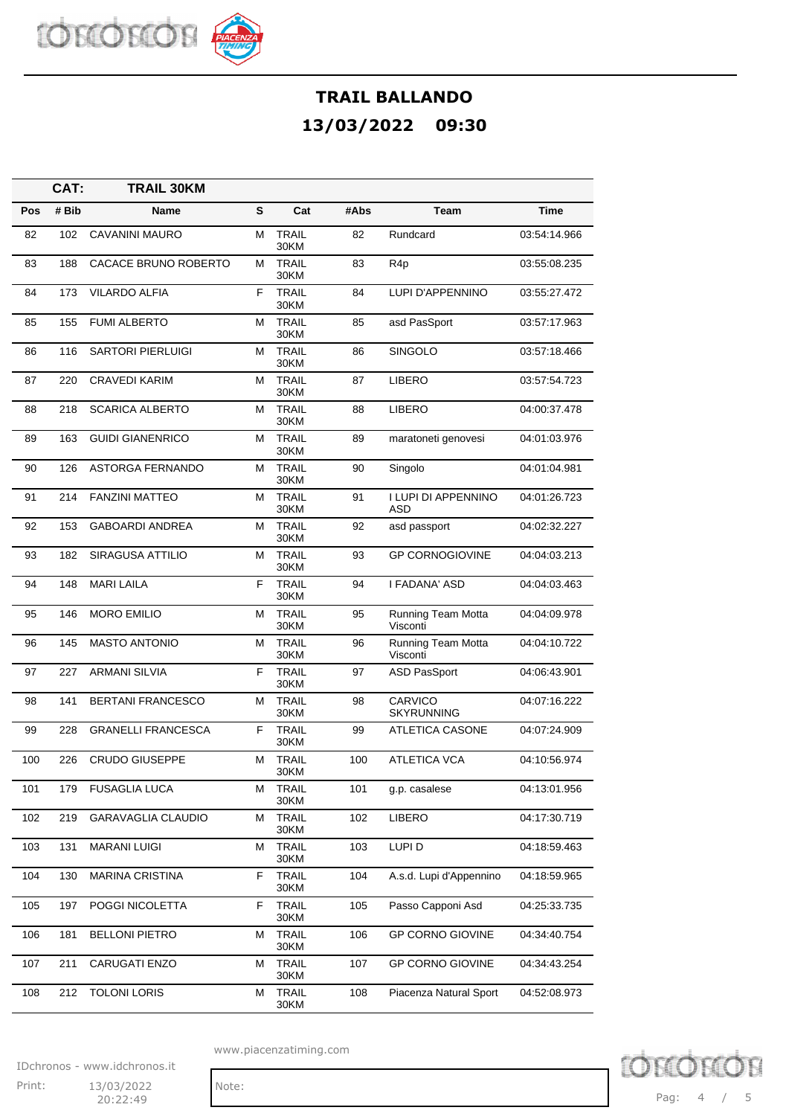

|     | CAT:  | <b>TRAIL 30KM</b>         |   |                      |      |                                       |              |
|-----|-------|---------------------------|---|----------------------|------|---------------------------------------|--------------|
| Pos | # Bib | Name                      | S | Cat                  | #Abs | Team                                  | <b>Time</b>  |
| 82  | 102   | <b>CAVANINI MAURO</b>     | М | <b>TRAIL</b><br>30KM | 82   | Rundcard                              | 03:54:14.966 |
| 83  | 188   | CACACE BRUNO ROBERTO      | м | <b>TRAIL</b><br>30KM | 83   | R <sub>4</sub> p                      | 03:55:08.235 |
| 84  | 173   | <b>VILARDO ALFIA</b>      | F | <b>TRAIL</b><br>30KM | 84   | LUPI D'APPENNINO                      | 03:55:27.472 |
| 85  | 155   | <b>FUMI ALBERTO</b>       | м | <b>TRAIL</b><br>30KM | 85   | asd PasSport                          | 03:57:17.963 |
| 86  | 116   | <b>SARTORI PIERLUIGI</b>  | м | <b>TRAIL</b><br>30KM | 86   | SINGOLO                               | 03:57:18.466 |
| 87  | 220   | <b>CRAVEDI KARIM</b>      | М | <b>TRAIL</b><br>30KM | 87   | <b>LIBERO</b>                         | 03:57:54.723 |
| 88  | 218   | <b>SCARICA ALBERTO</b>    | м | <b>TRAIL</b><br>30KM | 88   | LIBERO                                | 04:00:37.478 |
| 89  | 163   | <b>GUIDI GIANENRICO</b>   | м | <b>TRAIL</b><br>30KM | 89   | maratoneti genovesi                   | 04:01:03.976 |
| 90  | 126   | <b>ASTORGA FERNANDO</b>   | м | <b>TRAIL</b><br>30KM | 90   | Singolo                               | 04:01:04.981 |
| 91  | 214   | <b>FANZINI MATTEO</b>     | м | <b>TRAIL</b><br>30KM | 91   | I LUPI DI APPENNINO<br>ASD            | 04:01:26.723 |
| 92  | 153   | <b>GABOARDI ANDREA</b>    | м | <b>TRAIL</b><br>30KM | 92   | asd passport                          | 04:02:32.227 |
| 93  | 182   | <b>SIRAGUSA ATTILIO</b>   | м | <b>TRAIL</b><br>30KM | 93   | <b>GP CORNOGIOVINE</b>                | 04:04:03.213 |
| 94  | 148   | <b>MARI LAILA</b>         | F | <b>TRAIL</b><br>30KM | 94   | I FADANA' ASD                         | 04:04:03.463 |
| 95  | 146   | <b>MORO EMILIO</b>        | м | <b>TRAIL</b><br>30KM | 95   | <b>Running Team Motta</b><br>Visconti | 04:04:09.978 |
| 96  | 145   | <b>MASTO ANTONIO</b>      | м | <b>TRAIL</b><br>30KM | 96   | <b>Running Team Motta</b><br>Visconti | 04:04:10.722 |
| 97  | 227   | <b>ARMANI SILVIA</b>      | F | <b>TRAIL</b><br>30KM | 97   | <b>ASD PasSport</b>                   | 04:06:43.901 |
| 98  | 141   | <b>BERTANI FRANCESCO</b>  | м | <b>TRAIL</b><br>30KM | 98   | CARVICO<br><b>SKYRUNNING</b>          | 04:07:16.222 |
| 99  | 228   | <b>GRANELLI FRANCESCA</b> | F | <b>TRAIL</b><br>30KM | 99   | <b>ATLETICA CASONE</b>                | 04:07:24.909 |
| 100 | 226   | <b>CRUDO GIUSEPPE</b>     | м | <b>TRAIL</b><br>30KM | 100  | <b>ATLETICA VCA</b>                   | 04:10:56.974 |
| 101 | 179   | <b>FUSAGLIA LUCA</b>      | м | <b>TRAIL</b><br>30KM | 101  | g.p. casalese                         | 04:13:01.956 |
| 102 | 219   | GARAVAGLIA CLAUDIO        | М | <b>TRAIL</b><br>30KM | 102  | <b>LIBERO</b>                         | 04:17:30.719 |
| 103 | 131   | <b>MARANI LUIGI</b>       | М | <b>TRAIL</b><br>30KM | 103  | LUPI D                                | 04:18:59.463 |
| 104 | 130   | <b>MARINA CRISTINA</b>    | F | <b>TRAIL</b><br>30KM | 104  | A.s.d. Lupi d'Appennino               | 04:18:59.965 |
| 105 | 197   | POGGI NICOLETTA           | F | <b>TRAIL</b><br>30KM | 105  | Passo Capponi Asd                     | 04:25:33.735 |
| 106 | 181   | <b>BELLONI PIETRO</b>     | М | TRAIL<br>30KM        | 106  | <b>GP CORNO GIOVINE</b>               | 04:34:40.754 |
| 107 | 211   | CARUGATI ENZO             | м | <b>TRAIL</b><br>30KM | 107  | <b>GP CORNO GIOVINE</b>               | 04:34:43.254 |
| 108 | 212   | <b>TOLONI LORIS</b>       | М | <b>TRAIL</b><br>30KM | 108  | Piacenza Natural Sport                | 04:52:08.973 |

www.piacenzatiming.com

IDchronos - www.idchronos.it Print: 13/03/2022 Note:



D chror Pag: 4 / 5